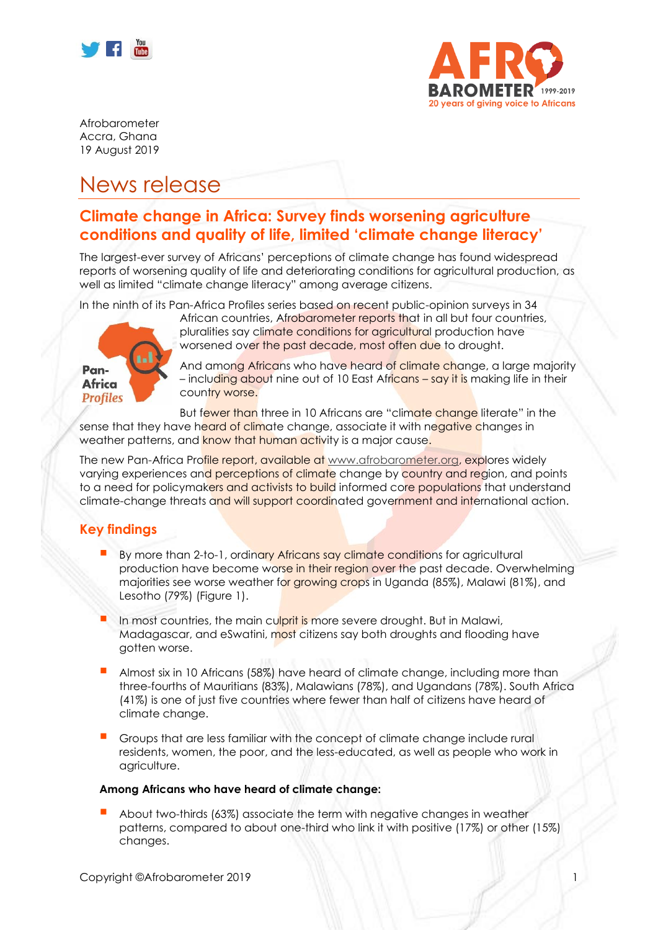



Afrobarometer Accra, Ghana 19 August 2019

## News release

### **Climate change in Africa: Survey finds worsening agriculture conditions and quality of life, limited 'climate change literacy'**

The largest-ever survey of Africans' perceptions of climate change has found widespread reports of worsening quality of life and deteriorating conditions for agricultural production, as well as limited "climate change literacy" among average citizens.

In the ninth of its Pan-Africa Profiles series based on recent public-opinion surveys in 34



African countries, Afrobarometer reports that in all but four countries, pluralities say climate conditions for agricultural production have worsened over the past decade, most often due to drought.

And among Africans who have heard of climate change, a large majority – including about nine out of 10 East Africans – say it is making life in their country worse.

But fewer than three in 10 Africans are "climate change literate" in the sense that they have heard of climate change, associate it with negative changes in weather patterns, and know that human activity is a major cause.

The new Pan-Africa Profile report, available at [www.afrobarometer.org,](http://www.afrobarometer.org/) explores widely varying experiences and perceptions of climate change by country and region, and points to a need for policymakers and activists to build informed core populations that understand climate-change threats and will support coordinated government and international action.

#### **Key findings**

- By more than 2-to-1, ordinary Africans say climate conditions for agricultural production have become worse in their region over the past decade. Overwhelming majorities see worse weather for growing crops in Uganda (85%), Malawi (81%), and Lesotho (79%) (Figure 1).
- In most countries, the main culprit is more severe drought. But in Malawi, Madagascar, and eSwatini, most citizens say both droughts and flooding have gotten worse.
- Almost six in 10 Africans (58%) have heard of climate change, including more than three-fourths of Mauritians (83%), Malawians (78%), and Ugandans (78%). South Africa (41%) is one of just five countries where fewer than half of citizens have heard of climate change.
- Groups that are less familiar with the concept of climate change include rural residents, women, the poor, and the less-educated, as well as people who work in agriculture.

#### **Among Africans who have heard of climate change:**

About two-thirds (63%) associate the term with negative changes in weather patterns, compared to about one-third who link it with positive (17%) or other (15%) changes.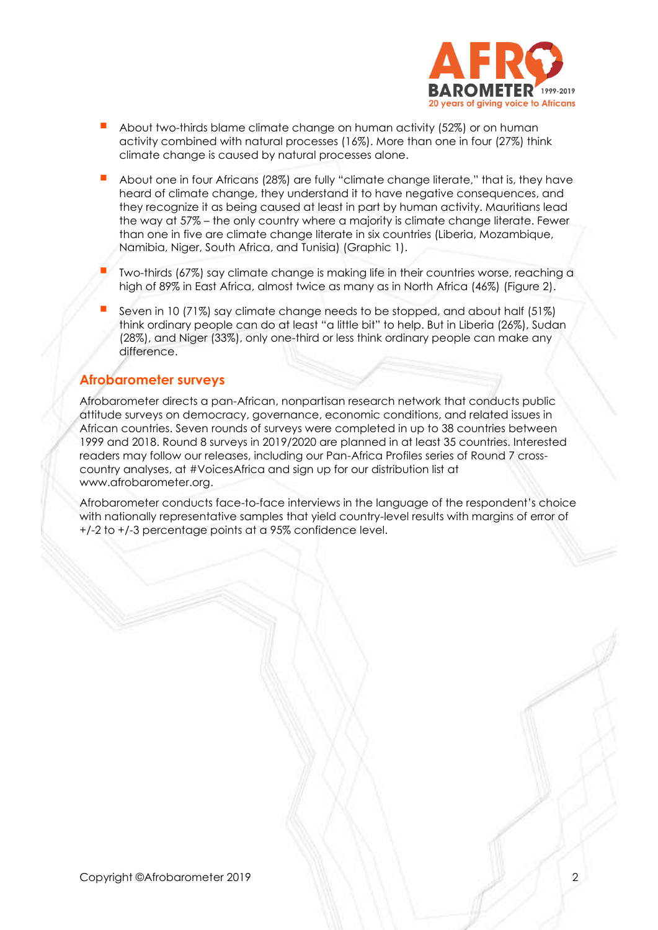

- About two-thirds blame climate change on human activity (52%) or on human activity combined with natural processes (16%). More than one in four (27%) think climate change is caused by natural processes alone.
- About one in four Africans (28%) are fully "climate change literate," that is, they have heard of climate change, they understand it to have negative consequences, and they recognize it as being caused at least in part by human activity. Mauritians lead the way at 57% – the only country where a majority is climate change literate. Fewer than one in five are climate change literate in six countries (Liberia, Mozambique, Namibia, Niger, South Africa, and Tunisia) (Graphic 1).
- Two-thirds (67%) say climate change is making life in their countries worse, reaching a high of 89% in East Africa, almost twice as many as in North Africa (46%) (Figure 2).
- Seven in 10 (71%) say climate change needs to be stopped, and about half (51%) think ordinary people can do at least "a little bit" to help. But in Liberia (26%), Sudan (28%), and Niger (33%), only one-third or less think ordinary people can make any difference.

#### **Afrobarometer surveys**

Afrobarometer directs a pan-African, nonpartisan research network that conducts public attitude surveys on democracy, governance, economic conditions, and related issues in African countries. Seven rounds of surveys were completed in up to 38 countries between 1999 and 2018. Round 8 surveys in 2019/2020 are planned in at least 35 countries. Interested readers may follow our releases, including our Pan-Africa Profiles series of Round 7 crosscountry analyses, at #VoicesAfrica and sign up for our distribution list at www.afrobarometer.org.

Afrobarometer conducts face-to-face interviews in the language of the respondent's choice with nationally representative samples that yield country-level results with margins of error of +/-2 to +/-3 percentage points at a 95% confidence level.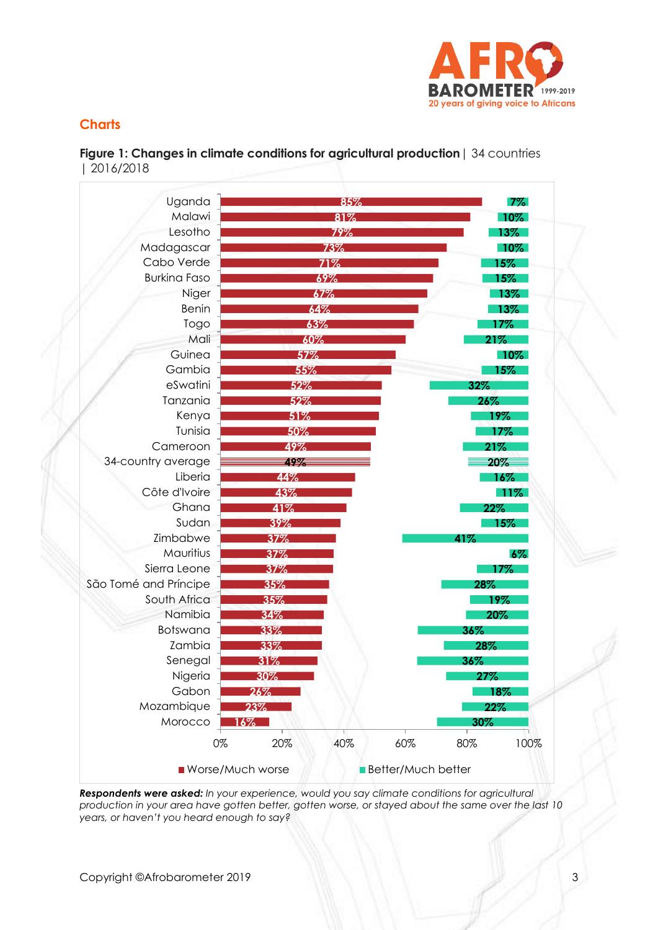

#### **Charts**

**Figure 1: Changes in climate conditions for agricultural production**| 34 countries | 2016/2018



*Respondents were asked: In your experience, would you say climate conditions for agricultural production in your area have gotten better, gotten worse, or stayed about the same over the last 10 years, or haven't you heard enough to say?*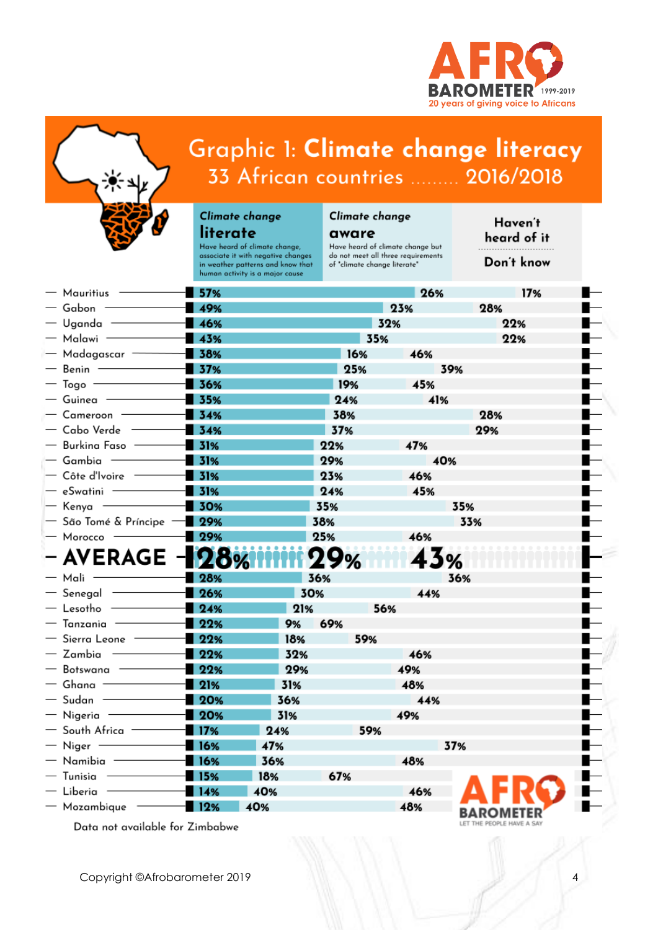



# Graphic 1: Climate change literacy 33 African countries ......... 2016/2018

#### Climate change literate

Have heard of climate change, associate it with negative changes<br>in weather patterns and know that human activity is a major cause

## Climate change

aware Have heard of climate change but Have neard or climate change but<br>do not meet all three requirements<br>of "climate change literate"

Haven't heard of it

Don't know

 $\overline{4}$ 

| $-$ Mauritius $-$               | 57%      |     |     |     | 26% |     | 17% |  |
|---------------------------------|----------|-----|-----|-----|-----|-----|-----|--|
| $-$ Gabon $\cdot$               | $-49%$   |     |     | 23% |     | 28% |     |  |
| $-$ Uganda $-$                  | 46%      |     |     | 32% |     |     | 22% |  |
| $-$ Malawi $-$                  | $-43%$   |     |     | 35% |     |     | 22% |  |
| $-$ Madagascar $-$              | $-38%$   |     | 16% |     | 46% |     |     |  |
| $-$ Benin $-$                   | 37%      |     | 25% |     |     | 39% |     |  |
| $-$ Togo $-$                    | 36%      |     | 19% |     | 45% |     |     |  |
| $-$ Guinea $-$                  | $-35%$   |     | 24% |     | 41% |     |     |  |
| $-$ Cameroon $-$                | $-34%$   |     | 38% |     |     |     | 28% |  |
| — Cabo Verde                    | $-34%$   |     | 37% |     |     |     | 29% |  |
| - Burkina Faso -                | $-31%$   |     | 22% |     | 47% |     |     |  |
| - Gambia -                      | 131%     |     | 29% |     |     | 40% |     |  |
| $-$ Côte d'Ivoire $-$           | $-31%$   |     | 23% |     | 46% |     |     |  |
| $-$ eSwatini $-$                | $-31%$   |     | 24% |     | 45% |     |     |  |
| $-$ Kenya $-$                   | $-30%$   |     | 35% |     |     | 35% |     |  |
| $-$ São Tomé & Príncipe $-$     | $-29%$   |     | 38% |     |     | 33% |     |  |
| - Morocco -                     | 29%      |     | 25% |     | 46% |     |     |  |
| – AVERAGE -                     | <b>M</b> |     | 29% |     |     | У.  |     |  |
| $-$ Mali $-$                    | 28%      |     | 36% |     |     | 36% |     |  |
| $-$ Senegal $-$                 | $-26%$   | 30% |     |     | 44% |     |     |  |
| $-$ Lesotho -                   | $-24%$   | 21% |     | 56% |     |     |     |  |
| $-$ Tanzania $-$                | $-22%$   | 9%  | 69% |     |     |     |     |  |
| $-$ Sierra Leone $-$            | $-22%$   | 18% | 59% |     |     |     |     |  |
| — Zambia                        | $-22%$   | 32% |     |     | 46% |     |     |  |
| — Botswana -                    | 22%      | 29% |     |     | 49% |     |     |  |
| $-$ Ghana -                     | $-21%$   | 31% |     |     | 48% |     |     |  |
| $-$ Sudan $-$                   | $-20%$   | 36% |     |     | 44% |     |     |  |
| $-$ Nigeria $-$                 | $-20%$   | 31% |     |     | 49% |     |     |  |
| $-$ South Africa $-$            | $-17%$   | 24% |     | 59% |     |     |     |  |
| $-$ Niger $-$                   | $-16%$   | 47% |     |     |     | 37% |     |  |
| $-$ Namibia $-$                 | $-16%$   | 36% |     |     | 48% |     |     |  |
| $-$ Tunisia                     | $-115%$  | 18% | 67% |     |     |     |     |  |
| — Liberia -                     | 14%      | 40% |     |     | 46% |     |     |  |
| $-$ Mozambique $-$              | $-112%$  | 40% |     |     | 48% |     |     |  |
| Data not available for Zimbabwe |          |     |     |     |     |     |     |  |

Copyright ©Afrobarometer 2019